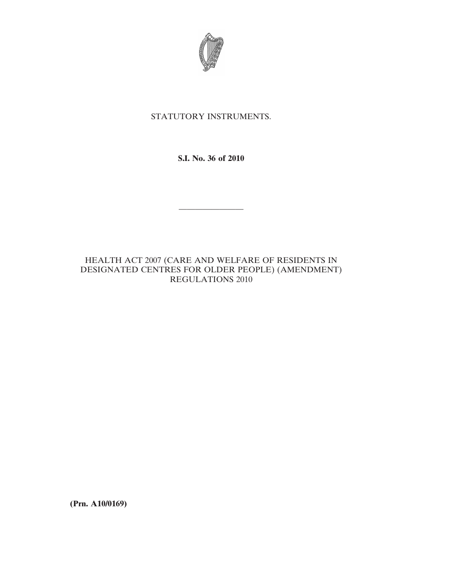

# STATUTORY INSTRUMENTS.

**S.I. No. 36 of 2010**

————————

# HEALTH ACT 2007 (CARE AND WELFARE OF RESIDENTS IN DESIGNATED CENTRES FOR OLDER PEOPLE) (AMENDMENT) REGULATIONS 2010

**(Prn. A10/0169)**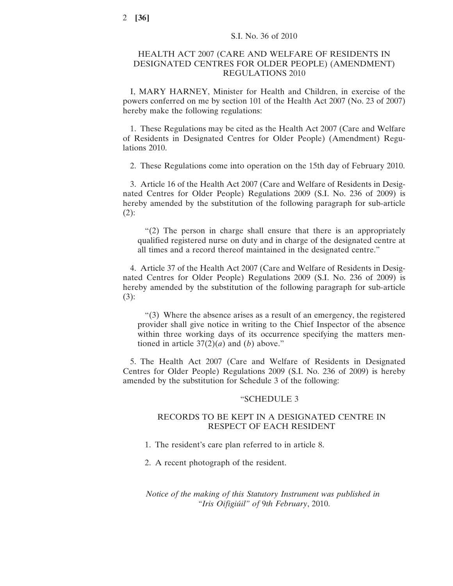## HEALTH ACT 2007 (CARE AND WELFARE OF RESIDENTS IN DESIGNATED CENTRES FOR OLDER PEOPLE) (AMENDMENT) REGULATIONS 2010

I, MARY HARNEY, Minister for Health and Children, in exercise of the powers conferred on me by section 101 of the Health Act 2007 (No. 23 of 2007) hereby make the following regulations:

1. These Regulations may be cited as the Health Act 2007 (Care and Welfare of Residents in Designated Centres for Older People) (Amendment) Regulations 2010.

2. These Regulations come into operation on the 15th day of February 2010.

3. Article 16 of the Health Act 2007 (Care and Welfare of Residents in Designated Centres for Older People) Regulations 2009 (S.I. No. 236 of 2009) is hereby amended by the substitution of the following paragraph for sub-article  $(2)$ :

"(2) The person in charge shall ensure that there is an appropriately qualified registered nurse on duty and in charge of the designated centre at all times and a record thereof maintained in the designated centre."

4. Article 37 of the Health Act 2007 (Care and Welfare of Residents in Designated Centres for Older People) Regulations 2009 (S.I. No. 236 of 2009) is hereby amended by the substitution of the following paragraph for sub-article (3):

"(3) Where the absence arises as a result of an emergency, the registered provider shall give notice in writing to the Chief Inspector of the absence within three working days of its occurrence specifying the matters mentioned in article  $37(2)(a)$  and (*b*) above."

5. The Health Act 2007 (Care and Welfare of Residents in Designated Centres for Older People) Regulations 2009 (S.I. No. 236 of 2009) is hereby amended by the substitution for Schedule 3 of the following:

#### "SCHEDULE 3

## RECORDS TO BE KEPT IN A DESIGNATED CENTRE IN RESPECT OF EACH RESIDENT

- 1. The resident's care plan referred to in article 8.
- 2. A recent photograph of the resident.

*Notice of the making of this Statutory Instrument was published in "Iris Oifigiúil" of* 9*th February*, 2010.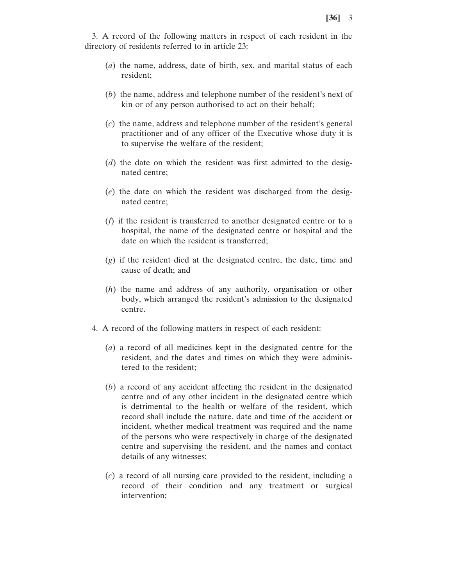3. A record of the following matters in respect of each resident in the directory of residents referred to in article 23:

- (*a*) the name, address, date of birth, sex, and marital status of each resident;
- (*b*) the name, address and telephone number of the resident's next of kin or of any person authorised to act on their behalf;
- (*c*) the name, address and telephone number of the resident's general practitioner and of any officer of the Executive whose duty it is to supervise the welfare of the resident;
- (*d*) the date on which the resident was first admitted to the designated centre;
- (*e*) the date on which the resident was discharged from the designated centre;
- (*f*) if the resident is transferred to another designated centre or to a hospital, the name of the designated centre or hospital and the date on which the resident is transferred;
- (*g*) if the resident died at the designated centre, the date, time and cause of death; and
- (*h*) the name and address of any authority, organisation or other body, which arranged the resident's admission to the designated centre.
- 4. A record of the following matters in respect of each resident:
	- (*a*) a record of all medicines kept in the designated centre for the resident, and the dates and times on which they were administered to the resident;
	- (*b*) a record of any accident affecting the resident in the designated centre and of any other incident in the designated centre which is detrimental to the health or welfare of the resident, which record shall include the nature, date and time of the accident or incident, whether medical treatment was required and the name of the persons who were respectively in charge of the designated centre and supervising the resident, and the names and contact details of any witnesses;
	- (*c*) a record of all nursing care provided to the resident, including a record of their condition and any treatment or surgical intervention;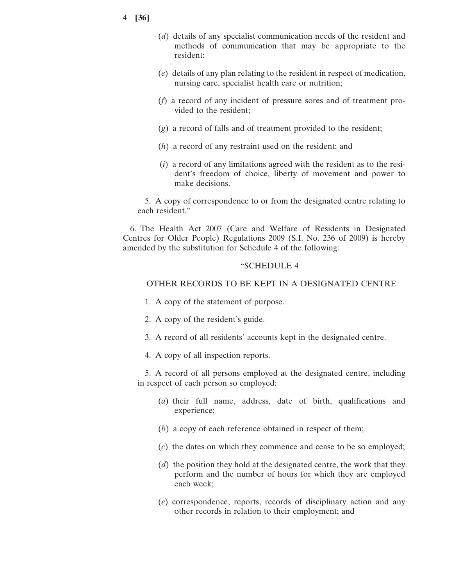- 4 **[36]**
- (*d*) details of any specialist communication needs of the resident and methods of communication that may be appropriate to the resident;
- (*e*) details of any plan relating to the resident in respect of medication, nursing care, specialist health care or nutrition;
- (*f*) a record of any incident of pressure sores and of treatment provided to the resident;
- (*g*) a record of falls and of treatment provided to the resident;
- (*h*) a record of any restraint used on the resident; and
- $(i)$  a record of any limitations agreed with the resident as to the resident's freedom of choice, liberty of movement and power to make decisions.

5. A copy of correspondence to or from the designated centre relating to each resident."

6. The Health Act 2007 (Care and Welfare of Residents in Designated Centres for Older People) Regulations 2009 (S.I. No. 236 of 2009) is hereby amended by the substitution for Schedule 4 of the following:

#### "SCHEDULE 4

#### OTHER RECORDS TO BE KEPT IN A DESIGNATED CENTRE

- 1. A copy of the statement of purpose.
- 2. A copy of the resident's guide.
- 3. A record of all residents' accounts kept in the designated centre.
- 4. A copy of all inspection reports.

5. A record of all persons employed at the designated centre, including in respect of each person so employed:

- (*a*) their full name, address, date of birth, qualifications and experience;
- (*b*) a copy of each reference obtained in respect of them;
- (*c*) the dates on which they commence and cease to be so employed;
- (*d*) the position they hold at the designated centre, the work that they perform and the number of hours for which they are employed each week;
- (*e*) correspondence, reports, records of disciplinary action and any other records in relation to their employment; and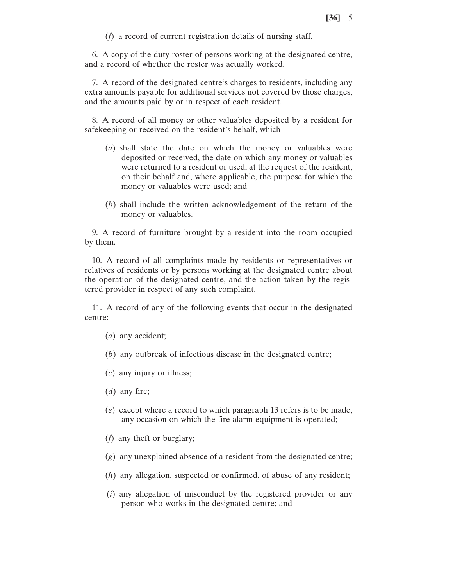(*f*) a record of current registration details of nursing staff.

6. A copy of the duty roster of persons working at the designated centre, and a record of whether the roster was actually worked.

7. A record of the designated centre's charges to residents, including any extra amounts payable for additional services not covered by those charges, and the amounts paid by or in respect of each resident.

8. A record of all money or other valuables deposited by a resident for safekeeping or received on the resident's behalf, which

- (*a*) shall state the date on which the money or valuables were deposited or received, the date on which any money or valuables were returned to a resident or used, at the request of the resident, on their behalf and, where applicable, the purpose for which the money or valuables were used; and
- (*b*) shall include the written acknowledgement of the return of the money or valuables.

9. A record of furniture brought by a resident into the room occupied by them.

10. A record of all complaints made by residents or representatives or relatives of residents or by persons working at the designated centre about the operation of the designated centre, and the action taken by the registered provider in respect of any such complaint.

11. A record of any of the following events that occur in the designated centre:

- (*a*) any accident;
- (*b*) any outbreak of infectious disease in the designated centre;
- (*c*) any injury or illness;
- (*d*) any fire;
- (*e*) except where a record to which paragraph 13 refers is to be made, any occasion on which the fire alarm equipment is operated;
- (*f*) any theft or burglary;
- (*g*) any unexplained absence of a resident from the designated centre;
- (*h*) any allegation, suspected or confirmed, of abuse of any resident;
- (*i*) any allegation of misconduct by the registered provider or any person who works in the designated centre; and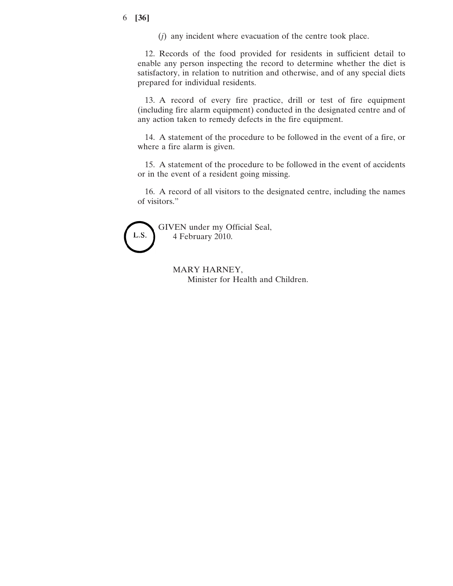#### 6 **[36]**

(*j*) any incident where evacuation of the centre took place.

12. Records of the food provided for residents in sufficient detail to enable any person inspecting the record to determine whether the diet is satisfactory, in relation to nutrition and otherwise, and of any special diets prepared for individual residents.

13. A record of every fire practice, drill or test of fire equipment (including fire alarm equipment) conducted in the designated centre and of any action taken to remedy defects in the fire equipment.

14. A statement of the procedure to be followed in the event of a fire, or where a fire alarm is given.

15. A statement of the procedure to be followed in the event of accidents or in the event of a resident going missing.

16. A record of all visitors to the designated centre, including the names of visitors."



MARY HARNEY, Minister for Health and Children.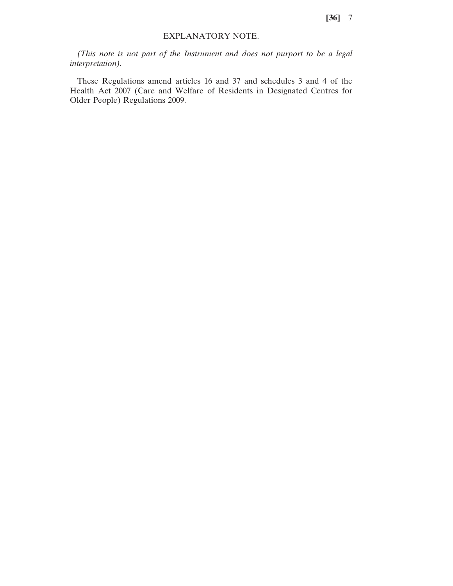**[36]** 7

## EXPLANATORY NOTE.

*(This note is not part of the Instrument and does not purport to be a legal interpretation).*

These Regulations amend articles 16 and 37 and schedules 3 and 4 of the Health Act 2007 (Care and Welfare of Residents in Designated Centres for Older People) Regulations 2009.